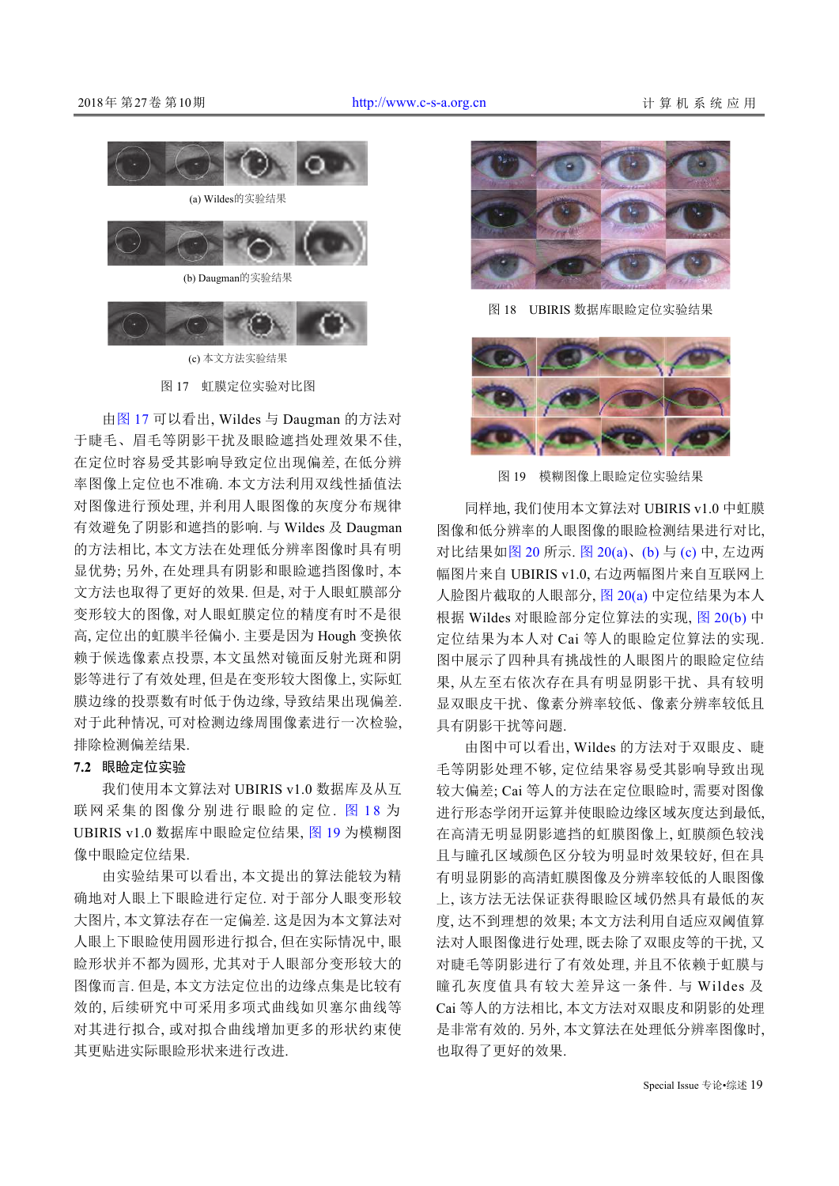



(c) 本文方法实验结果

图 17 虹膜定位实验对比图

<span id="page-8-0"></span>由[图](#page-8-0) [17](#page-8-0) 可以看出, Wildes 与 Daugman 的方法对 于睫毛、眉毛等阴影干扰及眼睑遮挡处理效果不佳, 在定位时容易受其影响导致定位出现偏差, 在低分辨 率图像上定位也不准确. 本文方法利用双线性插值法 对图像进行预处理, 并利用人眼图像的灰度分布规律 有效避免了阴影和遮挡的影响. 与 Wildes 及 Daugman 的方法相比, 本文方法在处理低分辨率图像时具有明 显优势; 另外, 在处理具有阴影和眼睑遮挡图像时, 本 文方法也取得了更好的效果. 但是, 对于人眼虹膜部分 变形较大的图像, 对人眼虹膜定位的精度有时不是很 高, 定位出的虹膜半径偏小. 主要是因为 Hough 变换依 赖于候选像素点投票, 本文虽然对镜面反射光斑和阴 影等进行了有效处理, 但是在变形较大图像上, 实际虹 膜边缘的投票数有时低于伪边缘, 导致结果出现偏差. 对于此种情况, 可对检测边缘周围像素进行一次检验, 排除检测偏差结果.

## **7.2** 眼睑定位实验

我们使用本文算法对 UBIRIS v1.0 数据库及从互 联网采集的[图](#page-8-1)像分别进行眼睑的定位. 图 [1](#page-8-1)[8](#page-8-1) 为 UBIRIS v1.0 数据库中眼睑定位结果, [图](#page-8-2) [19](#page-8-2) 为模糊图 像中眼睑定位结果.

由实验结果可以看出, 本文提出的算法能较为精 确地对人眼上下眼睑进行定位. 对于部分人眼变形较 大图片, 本文算法存在一定偏差. 这是因为本文算法对 人眼上下眼睑使用圆形进行拟合, 但在实际情况中, 眼 睑形状并不都为圆形, 尤其对于人眼部分变形较大的 图像而言. 但是, 本文方法定位出的边缘点集是比较有 效的, 后续研究中可采用多项式曲线如贝塞尔曲线等 对其进行拟合, 或对拟合曲线增加更多的形状约束使 其更贴进实际眼睑形状来进行改进.



图 18 UBIRIS 数据库眼睑定位实验结果

<span id="page-8-1"></span>

图 19 模糊图像上眼睑定位实验结果

<span id="page-8-2"></span>同样地, 我们使用本文算法对 UBIRIS v1.0 中虹膜 图像和低分辨率的人眼图像的眼睑检测结果进行对比, 对比结果[如图](#page-9-0) [20](#page-9-0) 所示. [图](#page-9-0) [20\(a\)](#page-9-0)、[\(b\)](#page-9-0) 与 [\(c\)](#page-9-0) 中, 左边两 幅图片来自 UBIRIS v1.0, 右边两幅图片来自互联网上 人脸图片截取的人眼部分, [图](#page-9-0) [20\(a\)](#page-9-0) 中定位结果为本人 根据 Wildes 对眼睑部分定位算法的实现, [图](#page-9-0) [20\(b\)](#page-9-0) 中 定位结果为本人对 Cai 等人的眼睑定位算法的实现. 图中展示了四种具有挑战性的人眼图片的眼睑定位结 果, 从左至右依次存在具有明显阴影干扰、具有较明 显双眼皮干扰、像素分辨率较低、像素分辨率较低且 具有阴影干扰等问题.

由图中可以看出, Wildes 的方法对于双眼皮、睫 毛等阴影处理不够, 定位结果容易受其影响导致出现 较大偏差; Cai 等人的方法在定位眼睑时, 需要对图像 进行形态学闭开运算并使眼睑边缘区域灰度达到最低, 在高清无明显阴影遮挡的虹膜图像上, 虹膜颜色较浅 且与瞳孔区域颜色区分较为明显时效果较好, 但在具 有明显阴影的高清虹膜图像及分辨率较低的人眼图像 上, 该方法无法保证获得眼睑区域仍然具有最低的灰 度, 达不到理想的效果; 本文方法利用自适应双阈值算 法对人眼图像进行处理, 既去除了双眼皮等的干扰, 又 对睫毛等阴影进行了有效处理, 并且不依赖于虹膜与 瞳孔灰度值具有较大差异这一条件. 与 Wildes 及 Cai 等人的方法相比, 本文方法对双眼皮和阴影的处理 是非常有效的. 另外, 本文算法在处理低分辨率图像时, 也取得了更好的效果.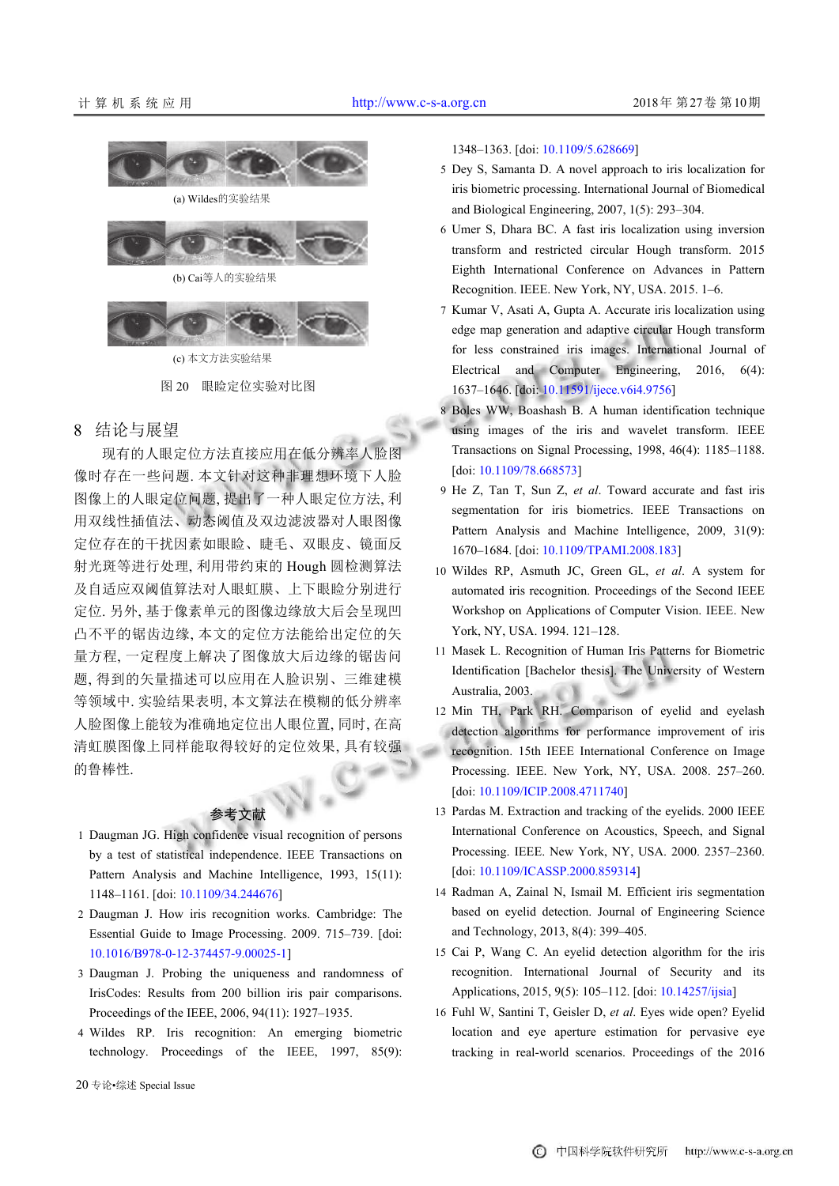

(c) 本文方法实验结果

图 20 眼睑定位实验对比图

## <span id="page-9-0"></span>8 结论与展望

现有的人眼定位方法直接应用在低分辨率人脸图 像时存在一些问题. 本文针对这种非理想环境下人脸 图像上的人眼定位问题, 提出了一种人眼定位方法, 利 用双线性插值法、动态阈值及双边滤波器对人眼图像 定位存在的干扰因素如眼睑、睫毛、双眼皮、镜面反 射光斑等进行处理, 利用带约束的 Hough 圆检测算法 及自适应双阈值算法对人眼虹膜、上下眼睑分别进行 定位. 另外, 基于像素单元的图像边缘放大后会呈现凹 凸不平的锯齿边缘, 本文的定位方法能给出定位的矢 量方程, 一定程度上解决了图像放大后边缘的锯齿问 题, 得到的矢量描述可以应用在人脸识别、三维建模 等领域中. 实验结果表明, 本文算法在模糊的低分辨率 人脸图像上能较为准确地定位出人眼位置, 同时, 在高 清虹膜图像上同样能取得较好的定位效果, 具有较强 的鲁棒性.



- 1 Daugman JG. High confidence visual recognition of persons by a test of statistical independence. IEEE Transactions on Pattern Analysis and Machine Intelligence, 1993, 15(11): 1148–1161. [doi: [10.1109/34.244676\]](http://dx.doi.org/10.1109/34.244676)
- 2 Daugman J. How iris recognition works. Cambridge: The Essential Guide to Image Processing. 2009. 715–739. [doi: [10.1016/B978-0-12-374457-9.00025-1\]](http://dx.doi.org/10.1016/B978-0-12-374457-9.00025-1)
- Daugman J. Probing the uniqueness and randomness of 3 IrisCodes: Results from 200 billion iris pair comparisons. Proceedings of the IEEE, 2006, 94(11): 1927–1935.
- Wildes RP. Iris recognition: An emerging biometric 4 technology. Proceedings of the IEEE, 1997, 85(9):

1348–1363. [doi: [10.1109/5.628669](http://dx.doi.org/10.1109/5.628669)]

- 5 Dey S, Samanta D. A novel approach to iris localization for iris biometric processing. International Journal of Biomedical and Biological Engineering, 2007, 1(5): 293–304.
- Umer S, Dhara BC. A fast iris localization using inversion 6 transform and restricted circular Hough transform. 2015 Eighth International Conference on Advances in Pattern Recognition. IEEE. New York, NY, USA. 2015. 1–6.
- 7 Kumar V, Asati A, Gupta A. Accurate iris localization using edge map generation and adaptive circular Hough transform for less constrained iris images. International Journal of Electrical and Computer Engineering, 2016, 6(4): 1637–1646. [doi: [10.11591/ijece.v6i4.9756\]](http://dx.doi.org/10.11591/ijece.v6i4.9756)
- 8 Boles WW, Boashash B. A human identification technique using images of the iris and wavelet transform. IEEE Transactions on Signal Processing, 1998, 46(4): 1185–1188. [doi: [10.1109/78.668573\]](http://dx.doi.org/10.1109/78.668573)
- 9 He Z, Tan T, Sun Z, et al. Toward accurate and fast iris segmentation for iris biometrics. IEEE Transactions on Pattern Analysis and Machine Intelligence, 2009, 31(9): 1670–1684. [doi: [10.1109/TPAMI.2008.183\]](http://dx.doi.org/10.1109/TPAMI.2008.183)
- Wildes RP, Asmuth JC, Green GL, *et al*. A system for 10 automated iris recognition. Proceedings of the Second IEEE Workshop on Applications of Computer Vision. IEEE. New York, NY, USA. 1994. 121–128.
- 11 Masek L. Recognition of Human Iris Patterns for Biometric Identification [Bachelor thesis]. The University of Western Australia, 2003.
- 12 Min TH, Park RH. Comparison of eyelid and eyelash detection algorithms for performance improvement of iris recognition. 15th IEEE International Conference on Image Proc[essing. IEEE. New York, N](http://dx.doi.org/10.1109/ICIP.2008.4711740)Y, USA. 2008. 257–260. [doi: [10.1109/ICIP.2008.4711740\]](http://dx.doi.org/10.1109/ICIP.2008.4711740)
- 13 Pardas M. Extraction and tracking of the eyelids. 2000 IEEE International Conference on Acoustics, Speech, and Signal Proc[essing. IEEE. New York, NY,](http://dx.doi.org/10.1109/ICASSP.2000.859314) USA. 2000. 2357–2360. [doi: [10.1109/ICASSP.2000.859314\]](http://dx.doi.org/10.1109/ICASSP.2000.859314)
- 14 Radman A, Zainal N, Ismail M. Efficient iris segmentation based on eyelid detection. Journal of Engineering Science and Technology, 2013, 8(4): 399–405.
- 15 Cai P, Wang C. An eyelid detection algorithm for the iris recognition. International Journal of [Security an](http://dx.doi.org/10.14257/ijsia)d its Applications, 2015, 9(5): 105–112. [doi: [10.14257/ijsia\]](http://dx.doi.org/10.14257/ijsia)
- 16 Fuhl W, Santini T, Geisler D, et al. Eyes wide open? Eyelid location and eye aperture estimation for pervasive eye tracking in real-world scenarios. Proceedings of the 2016